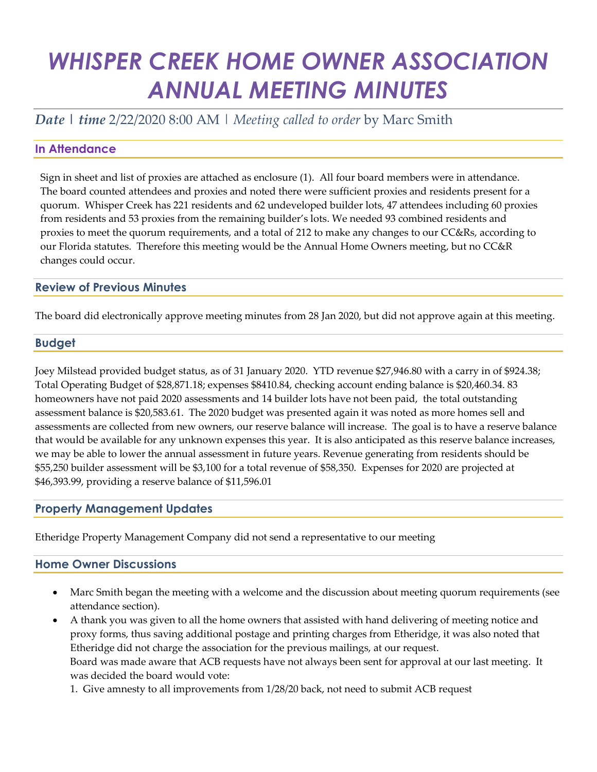# *WHISPER CREEK HOME OWNER ASSOCIATION ANNUAL MEETING MINUTES*

*Date | time* 2/22/2020 8:00 AM | *Meeting called to order* by Marc Smith

# **In Attendance**

Sign in sheet and list of proxies are attached as enclosure (1). All four board members were in attendance. The board counted attendees and proxies and noted there were sufficient proxies and residents present for a quorum. Whisper Creek has 221 residents and 62 undeveloped builder lots, 47 attendees including 60 proxies from residents and 53 proxies from the remaining builder's lots. We needed 93 combined residents and proxies to meet the quorum requirements, and a total of 212 to make any changes to our CC&Rs, according to our Florida statutes. Therefore this meeting would be the Annual Home Owners meeting, but no CC&R changes could occur.

# **Review of Previous Minutes**

The board did electronically approve meeting minutes from 28 Jan 2020, but did not approve again at this meeting.

#### **Budget**

Joey Milstead provided budget status, as of 31 January 2020. YTD revenue \$27,946.80 with a carry in of \$924.38; Total Operating Budget of \$28,871.18; expenses \$8410.84, checking account ending balance is \$20,460.34. 83 homeowners have not paid 2020 assessments and 14 builder lots have not been paid, the total outstanding assessment balance is \$20,583.61. The 2020 budget was presented again it was noted as more homes sell and assessments are collected from new owners, our reserve balance will increase. The goal is to have a reserve balance that would be available for any unknown expenses this year. It is also anticipated as this reserve balance increases, we may be able to lower the annual assessment in future years. Revenue generating from residents should be \$55,250 builder assessment will be \$3,100 for a total revenue of \$58,350. Expenses for 2020 are projected at \$46,393.99, providing a reserve balance of \$11,596.01

# **Property Management Updates**

Etheridge Property Management Company did not send a representative to our meeting

#### **Home Owner Discussions**

- Marc Smith began the meeting with a welcome and the discussion about meeting quorum requirements (see attendance section).
- A thank you was given to all the home owners that assisted with hand delivering of meeting notice and proxy forms, thus saving additional postage and printing charges from Etheridge, it was also noted that Etheridge did not charge the association for the previous mailings, at our request. Board was made aware that ACB requests have not always been sent for approval at our last meeting. It was decided the board would vote:
	- 1. Give amnesty to all improvements from 1/28/20 back, not need to submit ACB request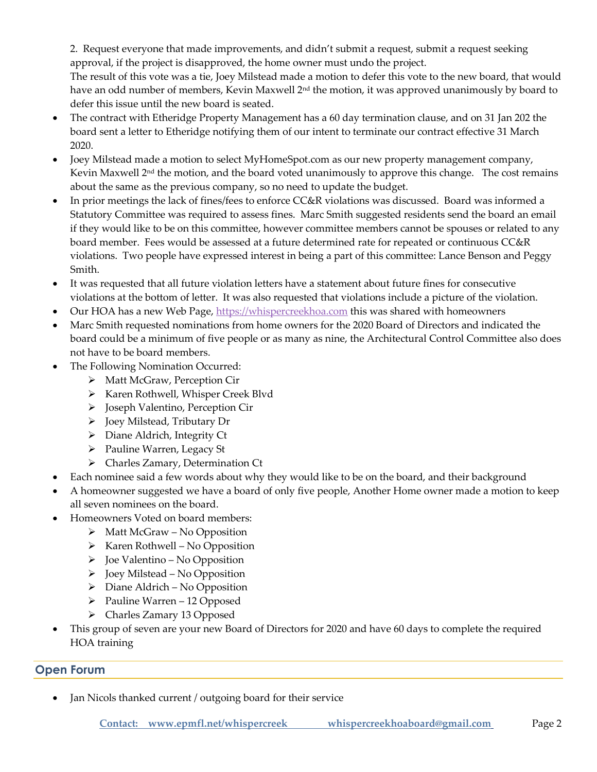2. Request everyone that made improvements, and didn't submit a request, submit a request seeking approval, if the project is disapproved, the home owner must undo the project.

The result of this vote was a tie, Joey Milstead made a motion to defer this vote to the new board, that would have an odd number of members, Kevin Maxwell 2<sup>nd</sup> the motion, it was approved unanimously by board to defer this issue until the new board is seated.

- The contract with Etheridge Property Management has a 60 day termination clause, and on 31 Jan 202 the board sent a letter to Etheridge notifying them of our intent to terminate our contract effective 31 March 2020.
- Joey Milstead made a motion to select MyHomeSpot.com as our new property management company, Kevin Maxwell  $2<sup>nd</sup>$  the motion, and the board voted unanimously to approve this change. The cost remains about the same as the previous company, so no need to update the budget.
- In prior meetings the lack of fines/fees to enforce CC&R violations was discussed. Board was informed a Statutory Committee was required to assess fines. Marc Smith suggested residents send the board an email if they would like to be on this committee, however committee members cannot be spouses or related to any board member. Fees would be assessed at a future determined rate for repeated or continuous CC&R violations. Two people have expressed interest in being a part of this committee: Lance Benson and Peggy Smith.
- It was requested that all future violation letters have a statement about future fines for consecutive violations at the bottom of letter. It was also requested that violations include a picture of the violation.
- Our HOA has a new Web Page[, https://whispercreekhoa.com](https://whispercreekhoa.com/) this was shared with homeowners
- Marc Smith requested nominations from home owners for the 2020 Board of Directors and indicated the board could be a minimum of five people or as many as nine, the Architectural Control Committee also does not have to be board members.
- The Following Nomination Occurred:
	- ➢ Matt McGraw, Perception Cir
	- ➢ Karen Rothwell, Whisper Creek Blvd
	- ➢ Joseph Valentino, Perception Cir
	- ➢ Joey Milstead, Tributary Dr
	- ➢ Diane Aldrich, Integrity Ct
	- ➢ Pauline Warren, Legacy St
	- ➢ Charles Zamary, Determination Ct
- Each nominee said a few words about why they would like to be on the board, and their background
- A homeowner suggested we have a board of only five people, Another Home owner made a motion to keep all seven nominees on the board.
- Homeowners Voted on board members:
	- $\triangleright$  Matt McGraw No Opposition
	- ➢ Karen Rothwell No Opposition
	- $\triangleright$  Joe Valentino No Opposition
	- ➢ Joey Milstead No Opposition
	- $\triangleright$  Diane Aldrich No Opposition
	- ➢ Pauline Warren 12 Opposed
	- ➢ Charles Zamary 13 Opposed
- This group of seven are your new Board of Directors for 2020 and have 60 days to complete the required HOA training

# **Open Forum**

Jan Nicols thanked current / outgoing board for their service